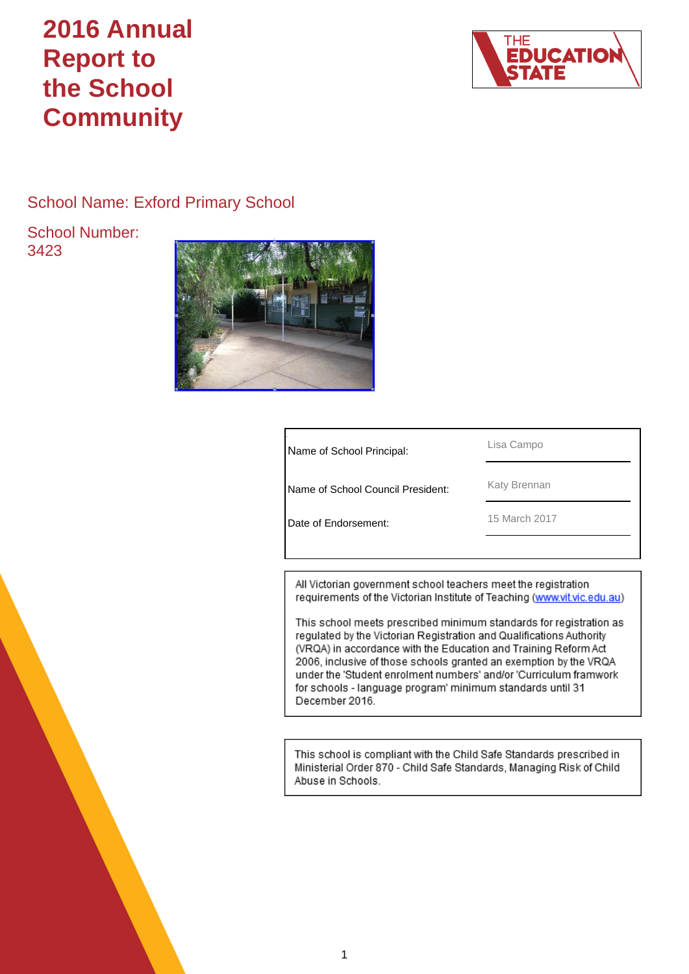# **2016 Annual Report to the School Community**



### School Name: Exford Primary School

School Number: 3423



| Name of School Principal:         | Lisa Campo          |
|-----------------------------------|---------------------|
| Name of School Council President: | <b>Katy Brennan</b> |

15 March 2017 Date of Endorsement:

All Victorian government school teachers meet the registration requirements of the Victorian Institute of Teaching (www.vit.vic.edu.au)

This school meets prescribed minimum standards for registration as regulated by the Victorian Registration and Qualifications Authority (VRQA) in accordance with the Education and Training Reform Act 2006, inclusive of those schools granted an exemption by the VRQA under the 'Student enrolment numbers' and/or 'Curriculum framwork for schools - language program' minimum standards until 31 December 2016.

This school is compliant with the Child Safe Standards prescribed in Ministerial Order 870 - Child Safe Standards, Managing Risk of Child Abuse in Schools.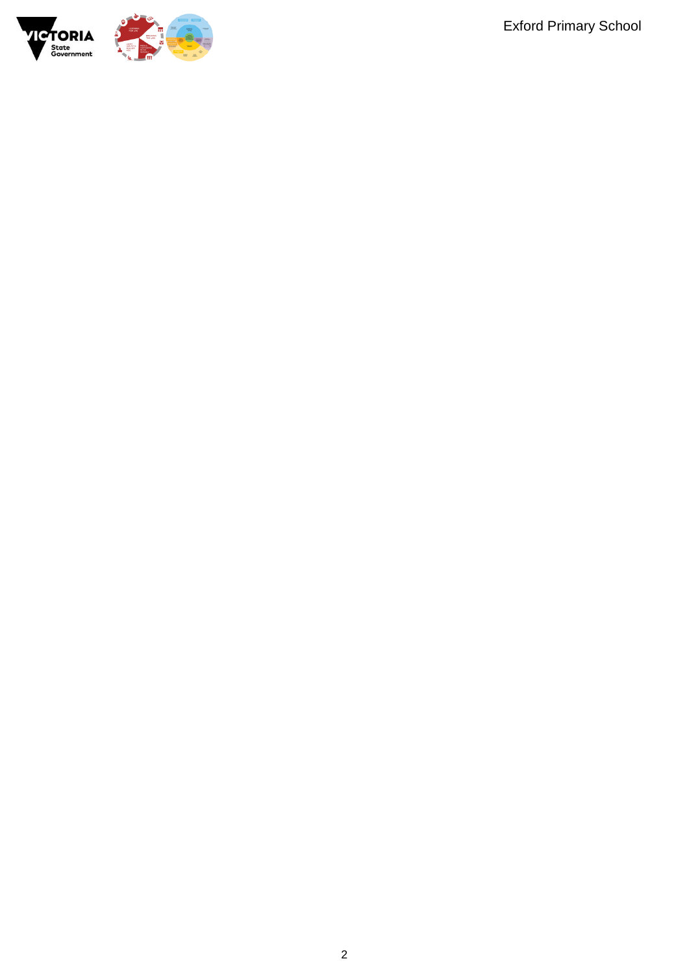Exford Primary School

2

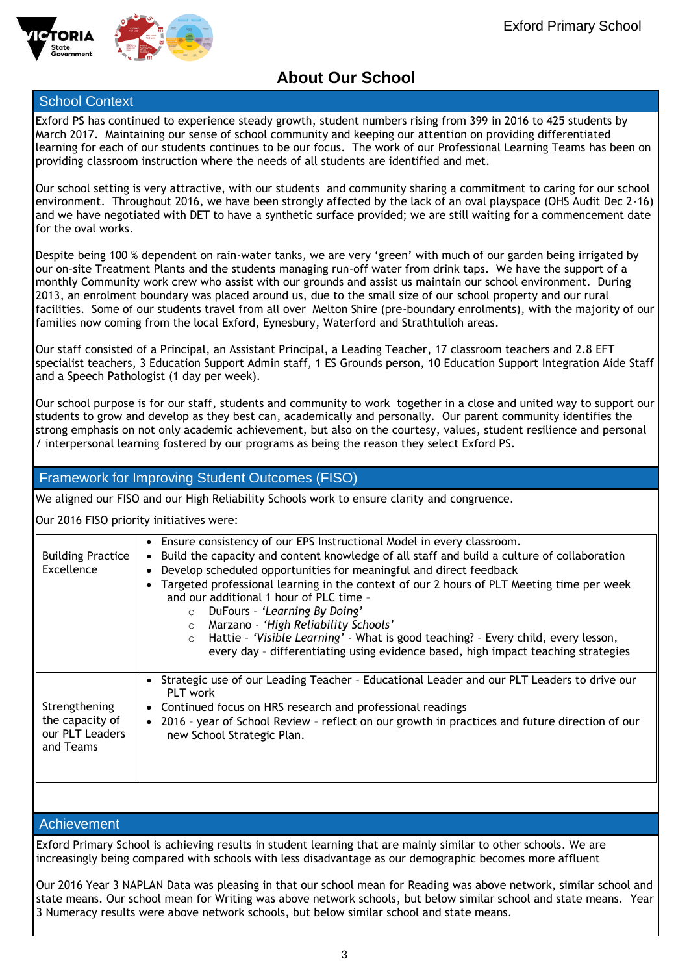



### **About Our School**

### School Context

Exford PS has continued to experience steady growth, student numbers rising from 399 in 2016 to 425 students by March 2017. Maintaining our sense of school community and keeping our attention on providing differentiated learning for each of our students continues to be our focus. The work of our Professional Learning Teams has been on providing classroom instruction where the needs of all students are identified and met.

Our school setting is very attractive, with our students and community sharing a commitment to caring for our school environment. Throughout 2016, we have been strongly affected by the lack of an oval playspace (OHS Audit Dec 2-16) and we have negotiated with DET to have a synthetic surface provided; we are still waiting for a commencement date for the oval works.

Despite being 100 % dependent on rain-water tanks, we are very 'green' with much of our garden being irrigated by our on-site Treatment Plants and the students managing run-off water from drink taps. We have the support of a monthly Community work crew who assist with our grounds and assist us maintain our school environment. During 2013, an enrolment boundary was placed around us, due to the small size of our school property and our rural facilities. Some of our students travel from all over Melton Shire (pre-boundary enrolments), with the majority of our families now coming from the local Exford, Eynesbury, Waterford and Strathtulloh areas.

Our staff consisted of a Principal, an Assistant Principal, a Leading Teacher, 17 classroom teachers and 2.8 EFT specialist teachers, 3 Education Support Admin staff, 1 ES Grounds person, 10 Education Support Integration Aide Staff and a Speech Pathologist (1 day per week).

Our school purpose is for our staff, students and community to work together in a close and united way to support our students to grow and develop as they best can, academically and personally. Our parent community identifies the strong emphasis on not only academic achievement, but also on the courtesy, values, student resilience and personal / interpersonal learning fostered by our programs as being the reason they select Exford PS.

### Framework for Improving Student Outcomes (FISO)

We aligned our FISO and our High Reliability Schools work to ensure clarity and congruence.

Our 2016 FISO priority initiatives were:

| <b>Building Practice</b><br>Excellence                           | • Ensure consistency of our EPS Instructional Model in every classroom.<br>Build the capacity and content knowledge of all staff and build a culture of collaboration<br>Develop scheduled opportunities for meaningful and direct feedback<br>Targeted professional learning in the context of our 2 hours of PLT Meeting time per week<br>and our additional 1 hour of PLC time -<br>DuFours - 'Learning By Doing'<br>$\circ$<br>Marzano - 'High Reliability Schools'<br>$\circ$<br>Hattie - 'Visible Learning' - What is good teaching? - Every child, every lesson,<br>$\circ$<br>every day - differentiating using evidence based, high impact teaching strategies |
|------------------------------------------------------------------|-------------------------------------------------------------------------------------------------------------------------------------------------------------------------------------------------------------------------------------------------------------------------------------------------------------------------------------------------------------------------------------------------------------------------------------------------------------------------------------------------------------------------------------------------------------------------------------------------------------------------------------------------------------------------|
| Strengthening<br>the capacity of<br>our PLT Leaders<br>and Teams | Strategic use of our Leading Teacher - Educational Leader and our PLT Leaders to drive our<br>PLT work<br>Continued focus on HRS research and professional readings<br>$\bullet$<br>• 2016 - year of School Review - reflect on our growth in practices and future direction of our<br>new School Strategic Plan.                                                                                                                                                                                                                                                                                                                                                       |

#### Achievement

Exford Primary School is achieving results in student learning that are mainly similar to other schools. We are increasingly being compared with schools with less disadvantage as our demographic becomes more affluent

Our 2016 Year 3 NAPLAN Data was pleasing in that our school mean for Reading was above network, similar school and state means. Our school mean for Writing was above network schools, but below similar school and state means. Year 3 Numeracy results were above network schools, but below similar school and state means.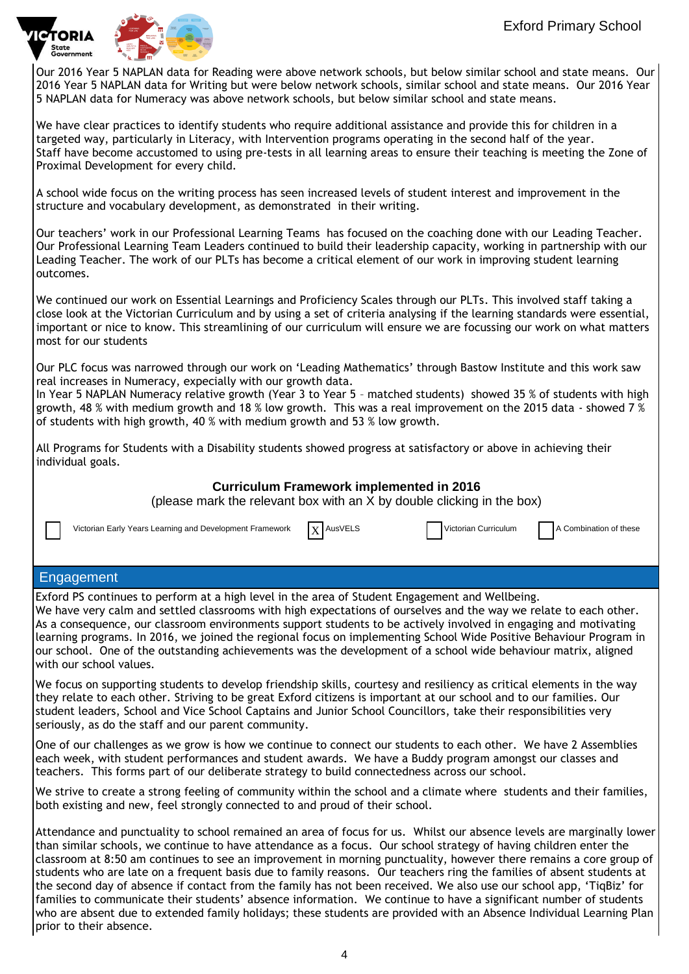

Our 2016 Year 5 NAPLAN data for Reading were above network schools, but below similar school and state means. Our 2016 Year 5 NAPLAN data for Writing but were below network schools, similar school and state means. Our 2016 Year 5 NAPLAN data for Numeracy was above network schools, but below similar school and state means.

We have clear practices to identify students who require additional assistance and provide this for children in a targeted way, particularly in Literacy, with Intervention programs operating in the second half of the year. Staff have become accustomed to using pre-tests in all learning areas to ensure their teaching is meeting the Zone of Proximal Development for every child.

A school wide focus on the writing process has seen increased levels of student interest and improvement in the structure and vocabulary development, as demonstrated in their writing.

Our teachers' work in our Professional Learning Teams has focused on the coaching done with our Leading Teacher. Our Professional Learning Team Leaders continued to build their leadership capacity, working in partnership with our Leading Teacher. The work of our PLTs has become a critical element of our work in improving student learning outcomes.

We continued our work on Essential Learnings and Proficiency Scales through our PLTs. This involved staff taking a close look at the Victorian Curriculum and by using a set of criteria analysing if the learning standards were essential, important or nice to know. This streamlining of our curriculum will ensure we are focussing our work on what matters most for our students

Our PLC focus was narrowed through our work on 'Leading Mathematics' through Bastow Institute and this work saw real increases in Numeracy, expecially with our growth data.

In Year 5 NAPLAN Numeracy relative growth (Year 3 to Year 5 – matched students) showed 35 % of students with high growth, 48 % with medium growth and 18 % low growth. This was a real improvement on the 2015 data - showed 7 % of students with high growth, 40 % with medium growth and 53 % low growth.

All Programs for Students with a Disability students showed progress at satisfactory or above in achieving their individual goals.

### **Curriculum Framework implemented in 2016**

(please mark the relevant box with an X by double clicking in the box)

Victorian Early Years Learning and Development Framework  $\chi$  AusVELS Victorian Curriculum A Combination of these

### **Engagement**

Exford PS continues to perform at a high level in the area of Student Engagement and Wellbeing. We have very calm and settled classrooms with high expectations of ourselves and the way we relate to each other. As a consequence, our classroom environments support students to be actively involved in engaging and motivating learning programs. In 2016, we joined the regional focus on implementing School Wide Positive Behaviour Program in our school. One of the outstanding achievements was the development of a school wide behaviour matrix, aligned with our school values.

We focus on supporting students to develop friendship skills, courtesy and resiliency as critical elements in the way they relate to each other. Striving to be great Exford citizens is important at our school and to our families. Our student leaders, School and Vice School Captains and Junior School Councillors, take their responsibilities very seriously, as do the staff and our parent community.

One of our challenges as we grow is how we continue to connect our students to each other. We have 2 Assemblies each week, with student performances and student awards. We have a Buddy program amongst our classes and teachers. This forms part of our deliberate strategy to build connectedness across our school.

We strive to create a strong feeling of community within the school and a climate where students and their families, both existing and new, feel strongly connected to and proud of their school.

Attendance and punctuality to school remained an area of focus for us. Whilst our absence levels are marginally lower than similar schools, we continue to have attendance as a focus. Our school strategy of having children enter the classroom at 8:50 am continues to see an improvement in morning punctuality, however there remains a core group of students who are late on a frequent basis due to family reasons. Our teachers ring the families of absent students at the second day of absence if contact from the family has not been received. We also use our school app, 'TiqBiz' for families to communicate their students' absence information. We continue to have a significant number of students who are absent due to extended family holidays; these students are provided with an Absence Individual Learning Plan prior to their absence.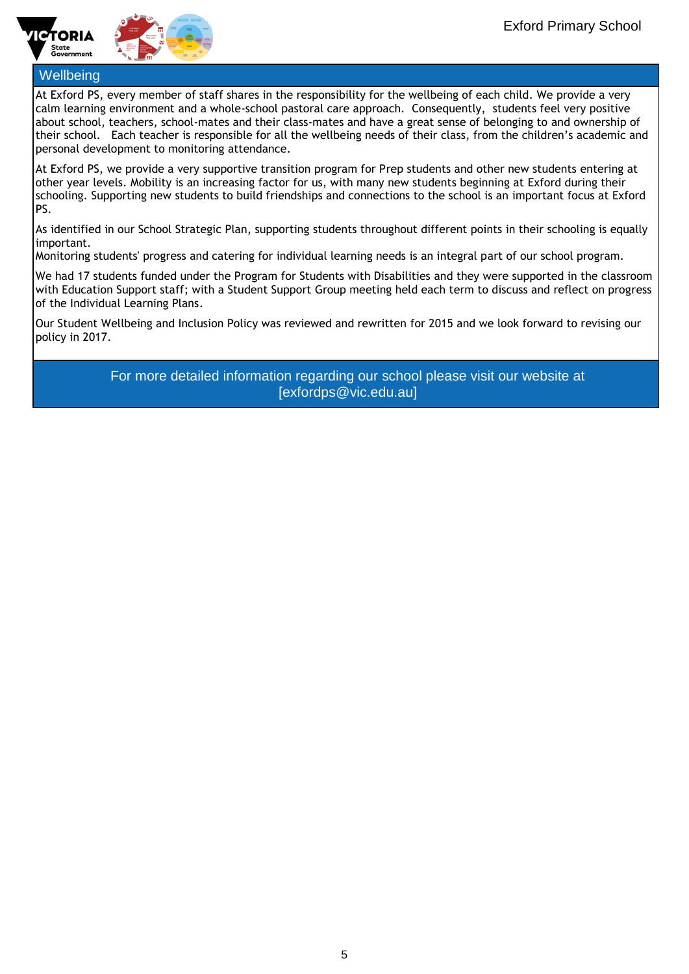



### **Wellbeing**

At Exford PS, every member of staff shares in the responsibility for the wellbeing of each child. We provide a very calm learning environment and a whole-school pastoral care approach. Consequently, students feel very positive about school, teachers, school-mates and their class-mates and have a great sense of belonging to and ownership of their school. Each teacher is responsible for all the wellbeing needs of their class, from the children's academic and personal development to monitoring attendance.

At Exford PS, we provide a very supportive transition program for Prep students and other new students entering at other year levels. Mobility is an increasing factor for us, with many new students beginning at Exford during their schooling. Supporting new students to build friendships and connections to the school is an important focus at Exford PS.

As identified in our School Strategic Plan, supporting students throughout different points in their schooling is equally important.

Monitoring students' progress and catering for individual learning needs is an integral part of our school program.

We had 17 students funded under the Program for Students with Disabilities and they were supported in the classroom with Education Support staff; with a Student Support Group meeting held each term to discuss and reflect on progress of the Individual Learning Plans.

Our Student Wellbeing and Inclusion Policy was reviewed and rewritten for 2015 and we look forward to revising our policy in 2017.

> For more detailed information regarding our school please visit our website at [exfordps@vic.edu.au]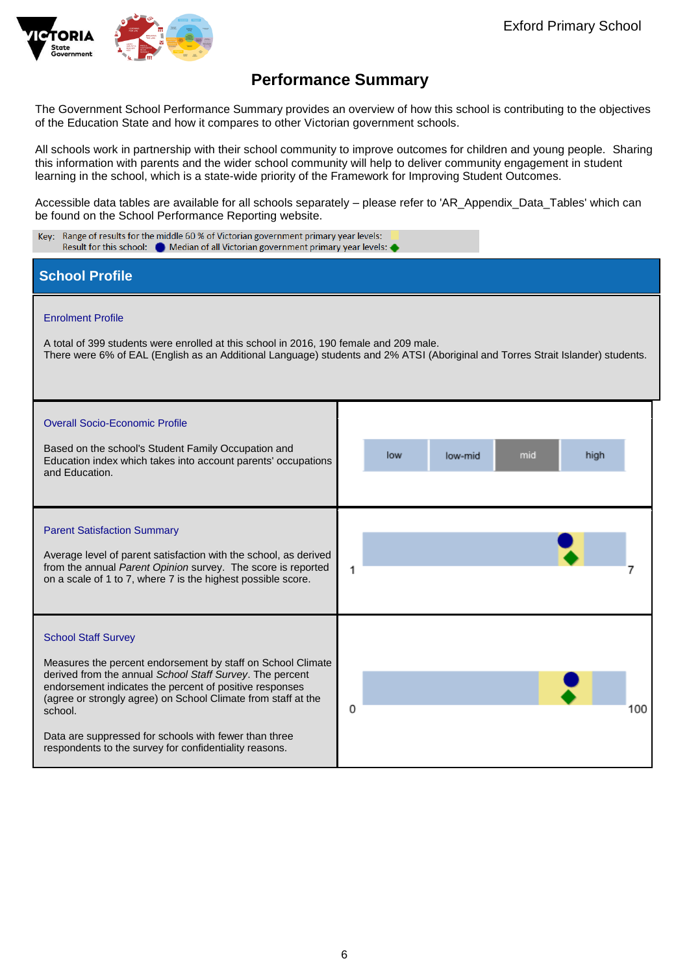

The Government School Performance Summary provides an overview of how this school is contributing to the objectives of the Education State and how it compares to other Victorian government schools.

All schools work in partnership with their school community to improve outcomes for children and young people. Sharing this information with parents and the wider school community will help to deliver community engagement in student learning in the school, which is a state-wide priority of the Framework for Improving Student Outcomes.

Accessible data tables are available for all schools separately – please refer to 'AR\_Appendix\_Data\_Tables' which can be found on the School Performance Reporting website.

| Key:    Range of results for the middle 60 % of Victorian government primary year levels:<br>Result for this school: • Median of all Victorian government primary year levels: •                                                                                                                                                                                                                                |                                                                                                                                 |
|-----------------------------------------------------------------------------------------------------------------------------------------------------------------------------------------------------------------------------------------------------------------------------------------------------------------------------------------------------------------------------------------------------------------|---------------------------------------------------------------------------------------------------------------------------------|
| <b>School Profile</b>                                                                                                                                                                                                                                                                                                                                                                                           |                                                                                                                                 |
| <b>Enrolment Profile</b><br>A total of 399 students were enrolled at this school in 2016, 190 female and 209 male.                                                                                                                                                                                                                                                                                              | There were 6% of EAL (English as an Additional Language) students and 2% ATSI (Aboriginal and Torres Strait Islander) students. |
| <b>Overall Socio-Economic Profile</b><br>Based on the school's Student Family Occupation and<br>Education index which takes into account parents' occupations<br>and Education.                                                                                                                                                                                                                                 | mid<br>high<br>low<br>low-mid                                                                                                   |
| <b>Parent Satisfaction Summary</b><br>Average level of parent satisfaction with the school, as derived<br>from the annual Parent Opinion survey. The score is reported<br>on a scale of 1 to 7, where 7 is the highest possible score.                                                                                                                                                                          | 1                                                                                                                               |
| <b>School Staff Survey</b><br>Measures the percent endorsement by staff on School Climate<br>derived from the annual School Staff Survey. The percent<br>endorsement indicates the percent of positive responses<br>(agree or strongly agree) on School Climate from staff at the<br>school.<br>Data are suppressed for schools with fewer than three<br>respondents to the survey for confidentiality reasons. | 0<br>100                                                                                                                        |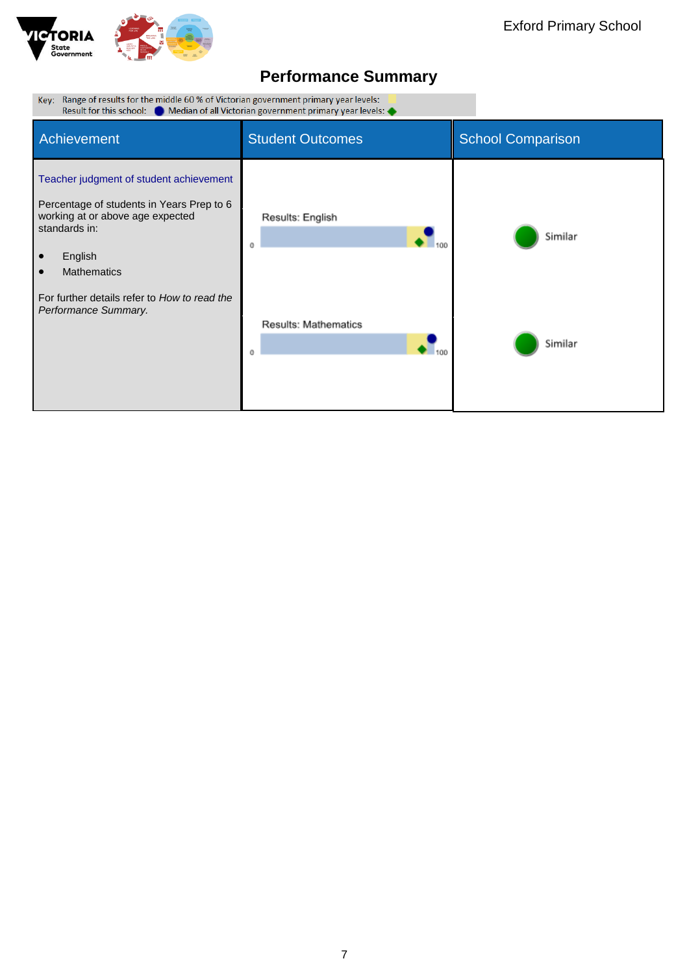

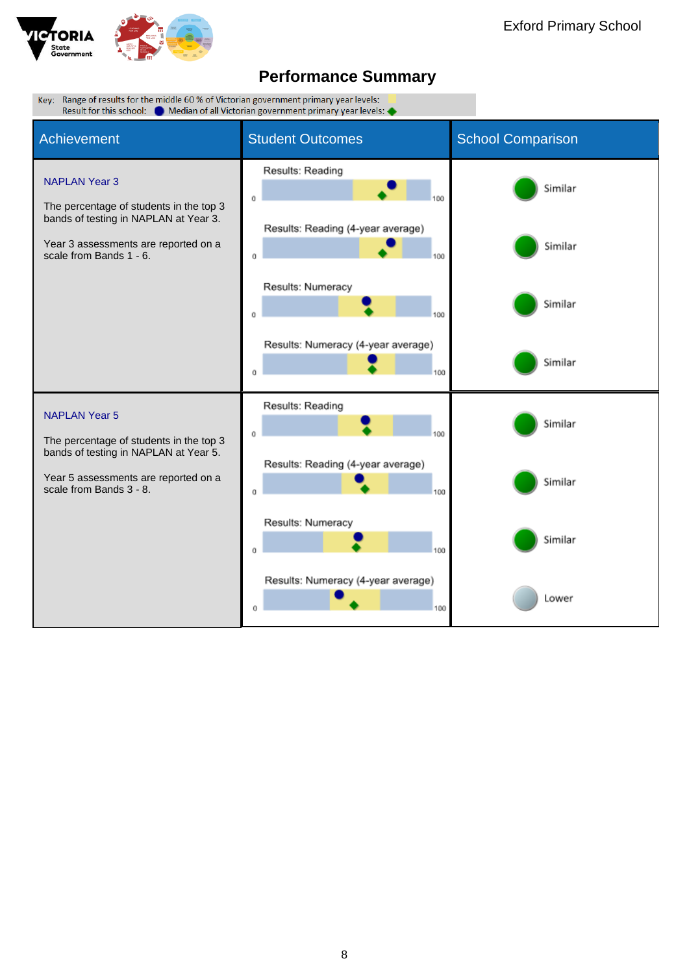

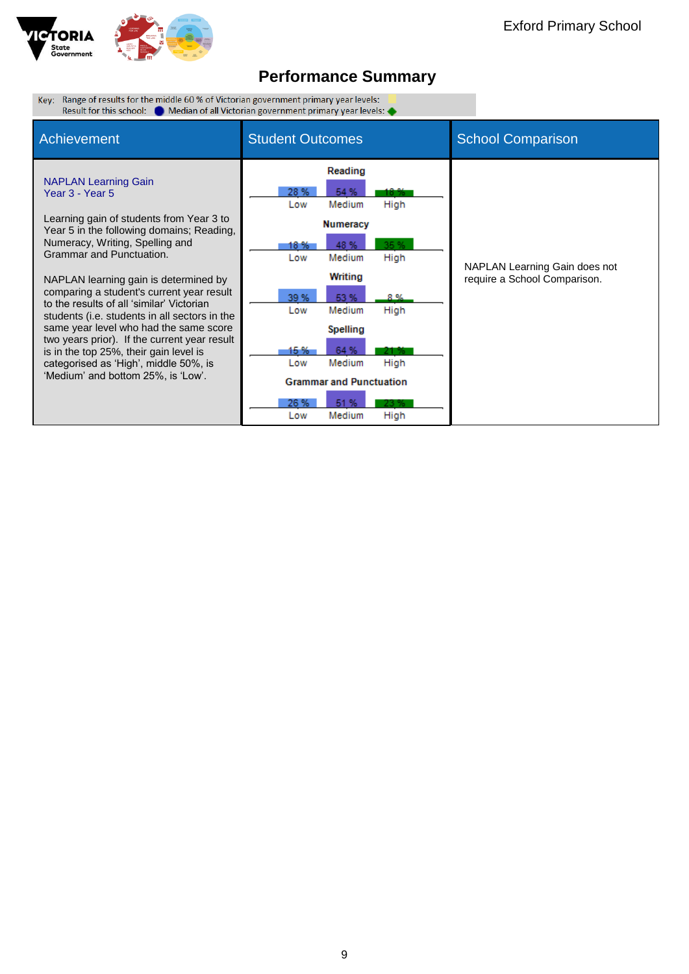

Key: Range of results for the middle 60 % of Victorian government primary year levels: <br>Result for this school: Comedian of all Victorian government primary year levels:

| Achievement                                                                                                                                                                                                                                                                                                                                                                                                                                                                                                                                                                                                   | <b>Student Outcomes</b>                                                                                                                                                                                                                                                                                                 | <b>School Comparison</b>                                      |
|---------------------------------------------------------------------------------------------------------------------------------------------------------------------------------------------------------------------------------------------------------------------------------------------------------------------------------------------------------------------------------------------------------------------------------------------------------------------------------------------------------------------------------------------------------------------------------------------------------------|-------------------------------------------------------------------------------------------------------------------------------------------------------------------------------------------------------------------------------------------------------------------------------------------------------------------------|---------------------------------------------------------------|
| <b>NAPLAN Learning Gain</b><br>Year 3 - Year 5<br>Learning gain of students from Year 3 to<br>Year 5 in the following domains; Reading,<br>Numeracy, Writing, Spelling and<br>Grammar and Punctuation.<br>NAPLAN learning gain is determined by<br>comparing a student's current year result<br>to the results of all 'similar' Victorian<br>students (i.e. students in all sectors in the<br>same year level who had the same score<br>two years prior). If the current year result<br>is in the top 25%, their gain level is<br>categorised as 'High', middle 50%, is<br>'Medium' and bottom 25%, is 'Low'. | Reading<br>28 %<br>54 %<br>18.25<br>Medium<br>High<br>Low<br>Numeracy<br>35 %<br>48 %<br>18 %<br>Low<br>Medium<br>High<br>Writing<br>39 %<br>53 %<br>8%<br>Medium<br>High<br>Low<br>Spelling<br>64 %<br>15 %<br>High<br>Medium<br>Low<br><b>Grammar and Punctuation</b><br>51%<br>26 %<br>23 %<br>Medium<br>High<br>Low | NAPLAN Learning Gain does not<br>require a School Comparison. |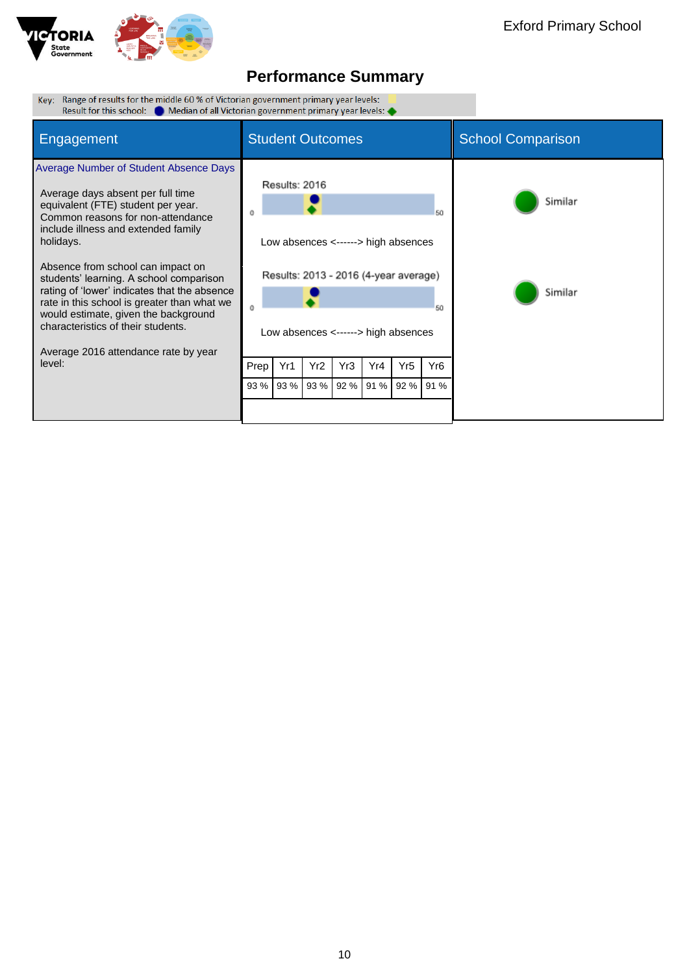

| <b>Student Outcomes</b><br><b>School Comparison</b><br>Engagement<br>Average Number of Student Absence Days<br>Results: 2016                                                                                                                                                                                                                                                                                                                                                                                                                                                                                                                                                                                                                                               | Key: Range of results for the middle 60 % of Victorian government primary year levels:<br>Result for this school: • Median of all Victorian government primary year levels: • |  |  |  |  |  |
|----------------------------------------------------------------------------------------------------------------------------------------------------------------------------------------------------------------------------------------------------------------------------------------------------------------------------------------------------------------------------------------------------------------------------------------------------------------------------------------------------------------------------------------------------------------------------------------------------------------------------------------------------------------------------------------------------------------------------------------------------------------------------|-------------------------------------------------------------------------------------------------------------------------------------------------------------------------------|--|--|--|--|--|
|                                                                                                                                                                                                                                                                                                                                                                                                                                                                                                                                                                                                                                                                                                                                                                            |                                                                                                                                                                               |  |  |  |  |  |
| Average days absent per full time<br>Similar<br>equivalent (FTE) student per year.<br>50<br>Common reasons for non-attendance<br>include illness and extended family<br>Low absences <------> high absences<br>holidays.<br>Absence from school can impact on<br>Results: 2013 - 2016 (4-year average)<br>students' learning. A school comparison<br>rating of 'lower' indicates that the absence<br>Similar<br>rate in this school is greater than what we<br>50<br>would estimate, given the background<br>characteristics of their students.<br>Low absences <------> high absences<br>Average 2016 attendance rate by year<br>level:<br>Yr1<br>Yr2<br>Yr3<br>Yr <sub>5</sub><br>Yr <sub>6</sub><br>Yr4<br>Prep<br>92 %<br>93 %<br>91 %<br>92 %<br>91 %<br>93 %<br>93 % |                                                                                                                                                                               |  |  |  |  |  |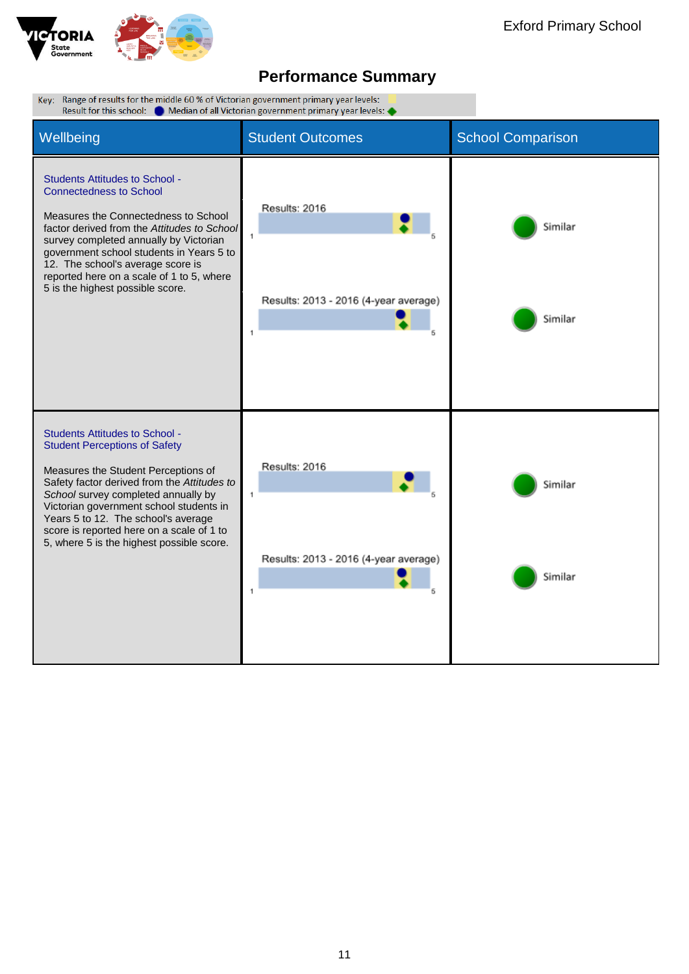

| Key: Range of results for the middle 60 % of Victorian government primary year levels:<br>Result for this school:<br><b>Median of all Victorian government primary year levels:</b>                                                                                                                                                                                                    |                                                                                     |                          |  |
|----------------------------------------------------------------------------------------------------------------------------------------------------------------------------------------------------------------------------------------------------------------------------------------------------------------------------------------------------------------------------------------|-------------------------------------------------------------------------------------|--------------------------|--|
| Wellbeing                                                                                                                                                                                                                                                                                                                                                                              | <b>Student Outcomes</b>                                                             | <b>School Comparison</b> |  |
| <b>Students Attitudes to School -</b><br><b>Connectedness to School</b><br>Measures the Connectedness to School<br>factor derived from the Attitudes to School<br>survey completed annually by Victorian<br>government school students in Years 5 to<br>12. The school's average score is<br>reported here on a scale of 1 to 5, where<br>5 is the highest possible score.             | Results: 2016<br>$\ddot{\phantom{1}}$<br>Results: 2013 - 2016 (4-year average)<br>1 | Similar<br>Similar       |  |
| <b>Students Attitudes to School -</b><br><b>Student Perceptions of Safety</b><br>Measures the Student Perceptions of<br>Safety factor derived from the Attitudes to<br>School survey completed annually by<br>Victorian government school students in<br>Years 5 to 12. The school's average<br>score is reported here on a scale of 1 to<br>5, where 5 is the highest possible score. | Results: 2016<br>1<br>Results: 2013 - 2016 (4-year average)<br>1                    | Similar<br>Similar       |  |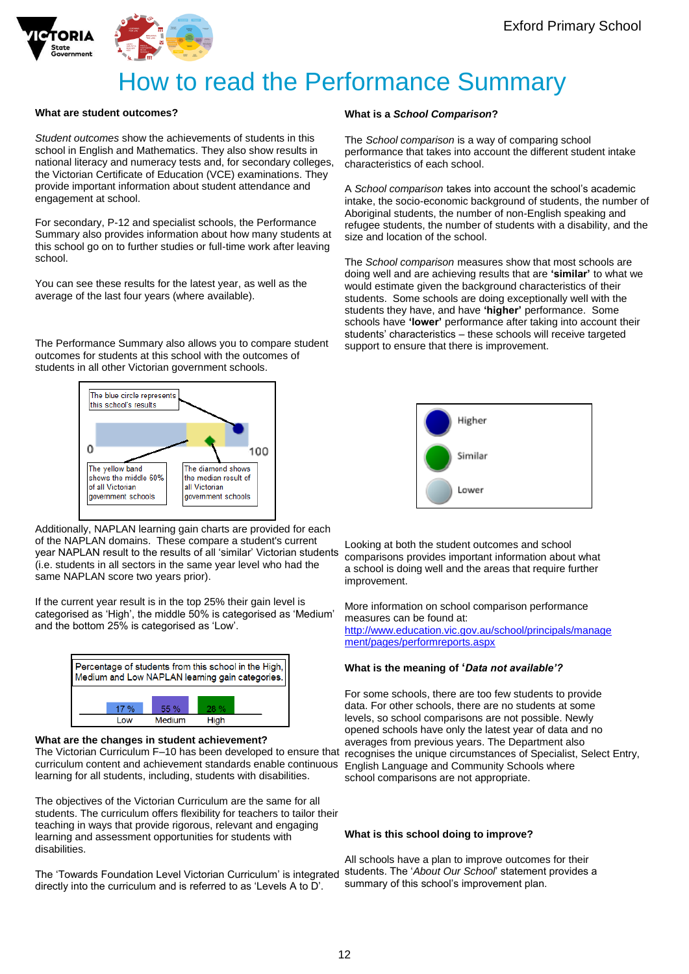



# How to read the Performance Summary

#### **What are student outcomes?**

*Student outcomes* show the achievements of students in this school in English and Mathematics. They also show results in national literacy and numeracy tests and, for secondary colleges, the Victorian Certificate of Education (VCE) examinations. They provide important information about student attendance and engagement at school.

For secondary, P-12 and specialist schools, the Performance Summary also provides information about how many students at this school go on to further studies or full-time work after leaving school.

You can see these results for the latest year, as well as the average of the last four years (where available).

The Performance Summary also allows you to compare student outcomes for students at this school with the outcomes of students in all other Victorian government schools.



Additionally, NAPLAN learning gain charts are provided for each of the NAPLAN domains. These compare a student's current year NAPLAN result to the results of all 'similar' Victorian students (i.e. students in all sectors in the same year level who had the same NAPLAN score two years prior).

If the current year result is in the top 25% their gain level is categorised as 'High', the middle 50% is categorised as 'Medium' and the bottom 25% is categorised as 'Low'.



#### **What are the changes in student achievement?**

curriculum content and achievement standards enable continuous English Language and Community Schools where The Victorian Curriculum F–10 has been developed to ensure that learning for all students, including, students with disabilities.

The objectives of the Victorian Curriculum are the same for all students. The curriculum offers flexibility for teachers to tailor their teaching in ways that provide rigorous, relevant and engaging learning and assessment opportunities for students with disabilities.

The 'Towards Foundation Level Victorian Curriculum' is integrated directly into the curriculum and is referred to as 'Levels A to D'.

#### **What is a** *School Comparison***?**

The *School comparison* is a way of comparing school performance that takes into account the different student intake characteristics of each school.

A *School comparison* takes into account the school's academic intake, the socio-economic background of students, the number of Aboriginal students, the number of non-English speaking and refugee students, the number of students with a disability, and the size and location of the school.

The *School comparison* measures show that most schools are doing well and are achieving results that are **'similar'** to what we would estimate given the background characteristics of their students. Some schools are doing exceptionally well with the students they have, and have **'higher'** performance. Some schools have **'lower'** performance after taking into account their students' characteristics – these schools will receive targeted support to ensure that there is improvement.



Looking at both the student outcomes and school comparisons provides important information about what a school is doing well and the areas that require further improvement.

More information on school comparison performance measures can be found at: [http://www.education.vic.gov.au/school/principals/manage](http://www.education.vic.gov.au/school/principals/management/pages/performreports.aspx) [ment/pages/performreports.aspx](http://www.education.vic.gov.au/school/principals/management/pages/performreports.aspx)

#### **What is the meaning of '***Data not available'?*

For some schools, there are too few students to provide data. For other schools, there are no students at some levels, so school comparisons are not possible. Newly opened schools have only the latest year of data and no averages from previous years. The Department also recognises the unique circumstances of Specialist, Select Entry, school comparisons are not appropriate.

#### **What is this school doing to improve?**

All schools have a plan to improve outcomes for their students. The '*About Our School*' statement provides a summary of this school's improvement plan.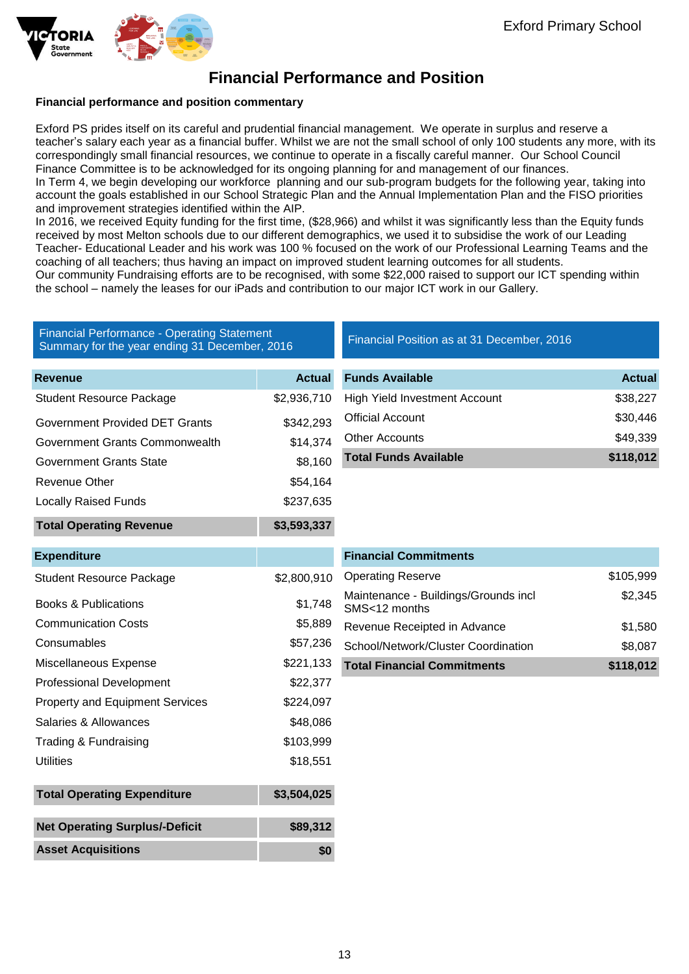

### **Financial Performance and Position**

#### **Financial performance and position commentary**

Exford PS prides itself on its careful and prudential financial management. We operate in surplus and reserve a teacher's salary each year as a financial buffer. Whilst we are not the small school of only 100 students any more, with its correspondingly small financial resources, we continue to operate in a fiscally careful manner. Our School Council Finance Committee is to be acknowledged for its ongoing planning for and management of our finances.

In Term 4, we begin developing our workforce planning and our sub-program budgets for the following year, taking into account the goals established in our School Strategic Plan and the Annual Implementation Plan and the FISO priorities and improvement strategies identified within the AIP.

In 2016, we received Equity funding for the first time, (\$28,966) and whilst it was significantly less than the Equity funds received by most Melton schools due to our different demographics, we used it to subsidise the work of our Leading Teacher- Educational Leader and his work was 100 % focused on the work of our Professional Learning Teams and the coaching of all teachers; thus having an impact on improved student learning outcomes for all students.

Our community Fundraising efforts are to be recognised, with some \$22,000 raised to support our ICT spending within the school – namely the leases for our iPads and contribution to our major ICT work in our Gallery.

|  | <b>Financial Performance - Operating Statement</b> |                                               |
|--|----------------------------------------------------|-----------------------------------------------|
|  |                                                    | Summary for the year ending 31 December, 2016 |

| <b>Revenue</b>                  | <b>Actual</b> |
|---------------------------------|---------------|
| <b>Student Resource Package</b> | \$2,936,710   |
| Government Provided DET Grants  | \$342,293     |
| Government Grants Commonwealth  | \$14,374      |
| <b>Government Grants State</b>  | \$8,160       |
| Revenue Other                   | \$54.164      |
| <b>Locally Raised Funds</b>     | \$237,635     |
| <b>Total Operating Revenue</b>  | \$3,593,337   |

Financial Position as at 31 December, 2016

| <b>Revenue</b>                        |           | <b>Actual Funds Available</b>             | <b>Actual</b> |
|---------------------------------------|-----------|-------------------------------------------|---------------|
| <b>Student Resource Package</b>       |           | \$2,936,710 High Yield Investment Account | \$38,227      |
| <b>Government Provided DET Grants</b> | \$342,293 | <b>Official Account</b>                   | \$30,446      |
| Government Grants Commonwealth        | \$14,374  | <b>Other Accounts</b>                     | \$49,339      |
| <b>Government Grants State</b>        | \$8,160   | <b>Total Funds Available</b>              | \$118,012     |

| <b>Expenditure</b>                     |             | <b>Financial Commitments</b>              |
|----------------------------------------|-------------|-------------------------------------------|
| <b>Student Resource Package</b>        | \$2,800,910 | <b>Operating Reserve</b>                  |
| <b>Books &amp; Publications</b>        | \$1,748     | Maintenance - Buildings/<br>SMS<12 months |
| <b>Communication Costs</b>             | \$5,889     | Revenue Receipted in Ad                   |
| Consumables                            | \$57,236    | School/Network/Cluster C                  |
| Miscellaneous Expense                  | \$221,133   | <b>Total Financial Commiti</b>            |
| <b>Professional Development</b>        | \$22,377    |                                           |
| <b>Property and Equipment Services</b> | \$224,097   |                                           |
| Salaries & Allowances                  | \$48,086    |                                           |
| Trading & Fundraising                  | \$103,999   |                                           |
| <b>Utilities</b>                       | \$18,551    |                                           |
| <b>Total Operating Expenditure</b>     | \$3,504,025 |                                           |
| <b>Net Operating Surplus/-Deficit</b>  | \$89,312    |                                           |

**Asset Acquisitions \$0** 

| <b>Financial Commitments</b>                          |           |
|-------------------------------------------------------|-----------|
| <b>Operating Reserve</b>                              | \$105.999 |
| Maintenance - Buildings/Grounds incl<br>SMS<12 months | \$2.345   |
| Revenue Receipted in Advance                          | \$1,580   |
| School/Network/Cluster Coordination                   | \$8,087   |
| <b>Total Financial Commitments</b>                    | \$118,012 |